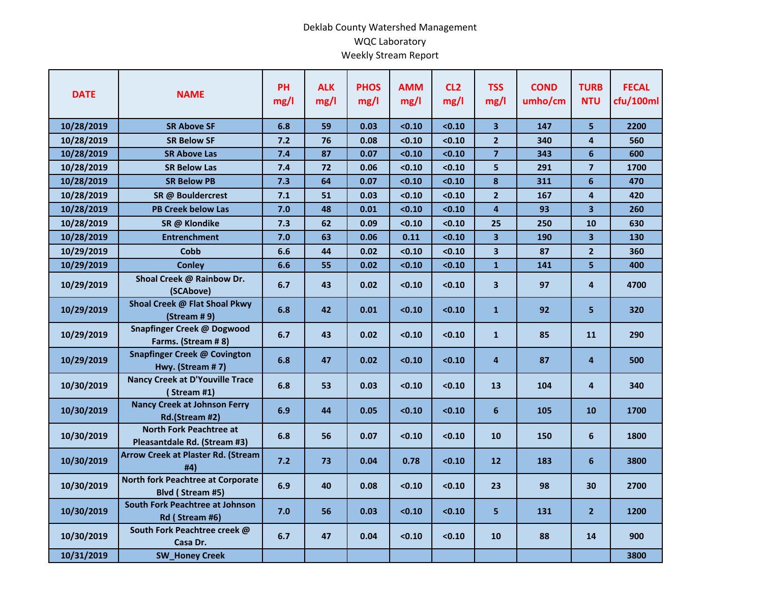## Deklab County Watershed Management WQC Laboratory Weekly Stream Report

| <b>DATE</b> | <b>NAME</b>                                                    | <b>PH</b><br>mg/l | <b>ALK</b><br>mg/l | <b>PHOS</b><br>mg/l | <b>AMM</b><br>mg/l | CL <sub>2</sub><br>mg/l | <b>TSS</b><br>mg/l      | <b>COND</b><br>umho/cm | <b>TURB</b><br><b>NTU</b> | <b>FECAL</b><br>cfu/100ml |
|-------------|----------------------------------------------------------------|-------------------|--------------------|---------------------|--------------------|-------------------------|-------------------------|------------------------|---------------------------|---------------------------|
| 10/28/2019  | <b>SR Above SF</b>                                             | 6.8               | 59                 | 0.03                | < 0.10             | < 0.10                  | 3                       | 147                    | 5                         | 2200                      |
| 10/28/2019  | <b>SR Below SF</b>                                             | 7.2               | 76                 | 0.08                | < 0.10             | < 0.10                  | $\overline{2}$          | 340                    | $\overline{4}$            | 560                       |
| 10/28/2019  | <b>SR Above Las</b>                                            | 7.4               | 87                 | 0.07                | < 0.10             | < 0.10                  | $\overline{\mathbf{z}}$ | 343                    | 6                         | 600                       |
| 10/28/2019  | <b>SR Below Las</b>                                            | 7.4               | 72                 | 0.06                | < 0.10             | < 0.10                  | 5                       | 291                    | $\overline{\mathbf{z}}$   | 1700                      |
| 10/28/2019  | <b>SR Below PB</b>                                             | 7.3               | 64                 | 0.07                | < 0.10             | < 0.10                  | 8                       | 311                    | 6                         | 470                       |
| 10/28/2019  | SR @ Bouldercrest                                              | 7.1               | 51                 | 0.03                | < 0.10             | < 0.10                  | $\overline{2}$          | 167                    | 4                         | 420                       |
| 10/28/2019  | <b>PB Creek below Las</b>                                      | 7.0               | 48                 | 0.01                | < 0.10             | < 0.10                  | $\overline{\mathbf{4}}$ | 93                     | 3 <sup>1</sup>            | 260                       |
| 10/28/2019  | SR @ Klondike                                                  | 7.3               | 62                 | 0.09                | < 0.10             | < 0.10                  | 25                      | 250                    | 10                        | 630                       |
| 10/28/2019  | <b>Entrenchment</b>                                            | 7.0               | 63                 | 0.06                | 0.11               | < 0.10                  | 3                       | 190                    | 3 <sup>1</sup>            | 130                       |
| 10/29/2019  | Cobb                                                           | 6.6               | 44                 | 0.02                | < 0.10             | < 0.10                  | 3                       | 87                     | $\overline{2}$            | 360                       |
| 10/29/2019  | <b>Conley</b>                                                  | 6.6               | 55                 | 0.02                | < 0.10             | < 0.10                  | $\mathbf{1}$            | 141                    | 5                         | 400                       |
| 10/29/2019  | Shoal Creek @ Rainbow Dr.<br>(SCAbove)                         | 6.7               | 43                 | 0.02                | < 0.10             | < 0.10                  | 3                       | 97                     | 4                         | 4700                      |
| 10/29/2019  | Shoal Creek @ Flat Shoal Pkwy<br>(Stream #9)                   | 6.8               | 42                 | 0.01                | < 0.10             | < 0.10                  | $\mathbf{1}$            | 92                     | 5.                        | 320                       |
| 10/29/2019  | Snapfinger Creek @ Dogwood<br>Farms. (Stream #8)               | 6.7               | 43                 | 0.02                | < 0.10             | < 0.10                  | $\mathbf{1}$            | 85                     | 11                        | 290                       |
| 10/29/2019  | Snapfinger Creek @ Covington<br>Hwy. (Stream #7)               | 6.8               | 47                 | 0.02                | < 0.10             | < 0.10                  | 4                       | 87                     | 4                         | 500                       |
| 10/30/2019  | <b>Nancy Creek at D'Youville Trace</b><br>(Stream #1)          | 6.8               | 53                 | 0.03                | < 0.10             | < 0.10                  | 13                      | 104                    | 4                         | 340                       |
| 10/30/2019  | <b>Nancy Creek at Johnson Ferry</b><br>Rd.(Stream #2)          | 6.9               | 44                 | 0.05                | < 0.10             | < 0.10                  | $6\phantom{1}$          | 105                    | 10                        | 1700                      |
| 10/30/2019  | <b>North Fork Peachtree at</b><br>Pleasantdale Rd. (Stream #3) | 6.8               | 56                 | 0.07                | < 0.10             | < 0.10                  | 10                      | 150                    | 6                         | 1800                      |
| 10/30/2019  | <b>Arrow Creek at Plaster Rd. (Stream</b><br>#4)               | 7.2               | 73                 | 0.04                | 0.78               | < 0.10                  | 12                      | 183                    | 6                         | 3800                      |
| 10/30/2019  | North fork Peachtree at Corporate<br>Blvd (Stream #5)          | 6.9               | 40                 | 0.08                | < 0.10             | < 0.10                  | 23                      | 98                     | 30                        | 2700                      |
| 10/30/2019  | <b>South Fork Peachtree at Johnson</b><br>Rd (Stream #6)       | 7.0               | 56                 | 0.03                | < 0.10             | < 0.10                  | 5                       | 131                    | 2 <sup>1</sup>            | 1200                      |
| 10/30/2019  | South Fork Peachtree creek @<br>Casa Dr.                       | 6.7               | 47                 | 0.04                | < 0.10             | < 0.10                  | 10                      | 88                     | 14                        | 900                       |
| 10/31/2019  | <b>SW_Honey Creek</b>                                          |                   |                    |                     |                    |                         |                         |                        |                           | 3800                      |